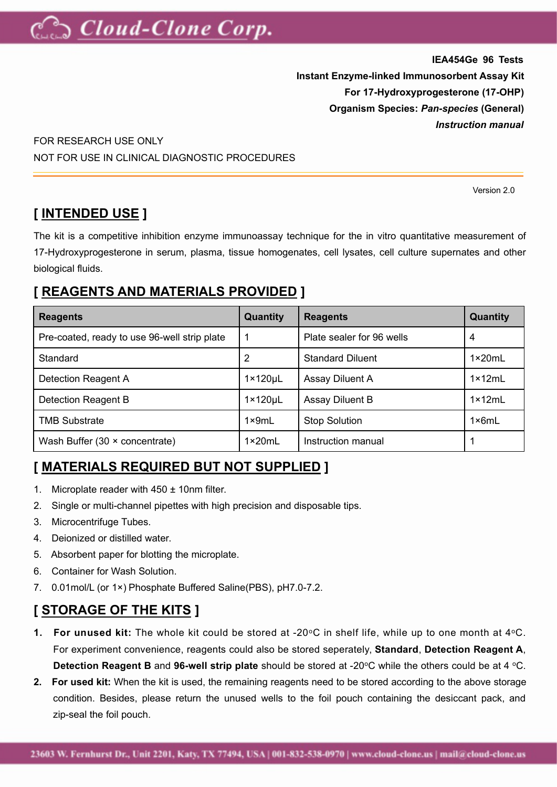

**IEA454Ge 96 Tests Instant Enzyme-linked Immunosorbent Assay Kit For 17-Hydroxyprogesterone (17-OHP) Organism Species:** *Pan-species* **(General)** *Instruction manual*

FOR RESEARCH USE ONLY NOT FOR USE IN CLINICAL DIAGNOSTIC PROCEDURES

Version 2.0

### **[ INTENDED USE ]**

The kit is a competitive inhibition enzyme immunoassay technique for the in vitro quantitative measurement of 17-Hydroxyprogesterone in serum, plasma, tissue homogenates, cell lysates, cell culture supernates and other biological fluids.

# **[ REAGENTS AND MATERIALS PROVIDED ]**

| <b>Reagents</b>                              | <b>Quantity</b>      | <b>Quantity</b><br><b>Reagents</b> |                  |  |
|----------------------------------------------|----------------------|------------------------------------|------------------|--|
| Pre-coated, ready to use 96-well strip plate |                      | Plate sealer for 96 wells          | 4                |  |
| Standard                                     | 2                    | <b>Standard Diluent</b>            | $1 \times 20$ mL |  |
| Detection Reagent A                          | $1 \times 120 \mu L$ | Assay Diluent A                    | $1 \times 12$ mL |  |
| Detection Reagent B                          | $1 \times 120 \mu L$ | Assay Diluent B                    | $1 \times 12$ mL |  |
| <b>TMB Substrate</b>                         | $1 \times 9mL$       | <b>Stop Solution</b>               | $1 \times 6mL$   |  |
| Wash Buffer $(30 \times \text{concentrate})$ | $1 \times 20$ mL     | Instruction manual                 |                  |  |

### **[ MATERIALS REQUIRED BUT NOT SUPPLIED ]**

- 1. Microplate reader with 450 ± 10nm filter.
- 2. Single or multi-channel pipettes with high precision and disposable tips.
- 3. Microcentrifuge Tubes.
- 4. Deionized or distilled water.
- 5. Absorbent paper for blotting the microplate.
- 6. Container for Wash Solution.
- 7. 0.01mol/L (or 1×) Phosphate Buffered Saline(PBS), pH7.0-7.2.

# **[ STORAGE OF THE KITS ]**

- **1. For unused kit:** The whole kit could be stored at -20°C in shelf life, while up to one month at 4°C. For experiment convenience, reagents could also be stored seperately,**Standard**, **Detection Reagent A**, **Detection Reagent B** and 96-well strip plate should be stored at -20°C while the others could be at 4 °C.
- **2. For used kit:** When the kit is used, the remaining reagents need to be stored according to the above storage condition. Besides, please return the unused wells to the foil pouch containing the desiccant pack, and zip-seal the foil pouch.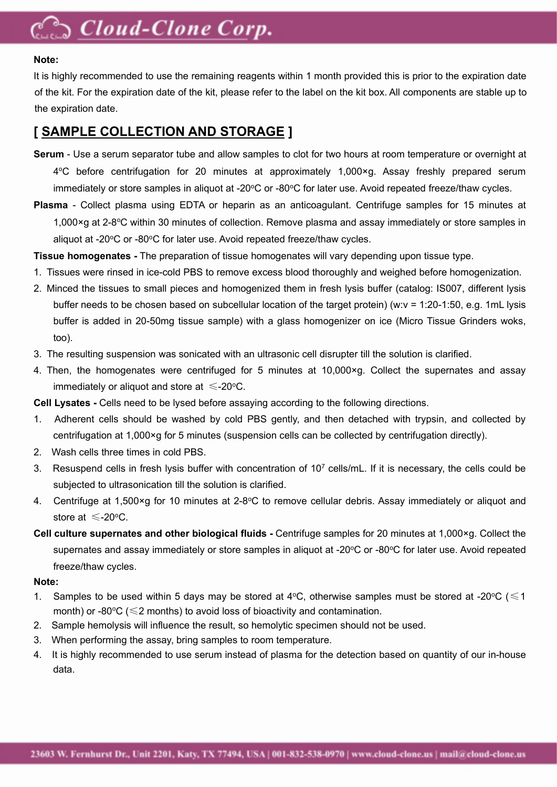# **Cloud-Clone Corp.**

#### **Note:**

It is highly recommended to use the remaining reagents within 1 month provided this is prior to the expiration date of the kit. For the expiration date of the kit, please refer to the label on the kit box. All components are stable up to the expiration date.

#### **[ SAMPLE COLLECTION AND STORAGE ]**

- **Serum** Use a serum separator tube and allow samples to clot for two hours at room temperature or overnight at 4 <sup>o</sup>C before centrifugation for 20 minutes at approximately 1,000×g. Assay freshly prepared serum immediately or store samples in aliquot at -20 $\degree$ C or -80 $\degree$ C for later use. Avoid repeated freeze/thaw cycles.
- **Plasma** Collect plasma using EDTA or heparin as an anticoagulant. Centrifuge samples for 15 minutes at 1,000×g at 2-8°C within 30 minutes of collection. Remove plasma and assay immediately or store samples in aliquot at -20°C or -80°C for later use. Avoid repeated freeze/thaw cycles.

**Tissue homogenates -** The preparation of tissue homogenates will vary depending upon tissue type.

- 1. Tissues were rinsed in ice-cold PBS to remove excess blood thoroughly and weighed before homogenization.
- 2. Minced the tissues to small pieces and homogenized them in fresh lysis buffer (catalog: IS007, different lysis buffer needs to be chosen based on subcellular location of the target protein) (w:v = 1:20-1:50, e.g. 1mL lysis buffer is added in 20-50mg tissue sample) with a glass homogenizer on ice (Micro Tissue Grinders woks, too).
- 3. The resulting suspension was sonicated with an ultrasonic cell disrupter till the solution is clarified.
- 4. Then, the homogenates were centrifuged for 5 minutes at 10,000×g. Collect the supernates and assay immediately or aliquot and store at  $\leq$ -20°C.

**Cell Lysates -** Cells need to be lysed before assaying according to the following directions.

- 1. Adherent cells should be washed by cold PBS gently, and then detached with trypsin, and collected by centrifugation at 1,000×g for 5 minutes (suspension cells can be collected by centrifugation directly).
- 2. Wash cells three times in cold PBS.
- 3. Resuspend cells in fresh lysis buffer with concentration of 10<sup>7</sup> cells/mL. If it is necessary, the cells could be subjected to ultrasonication till the solution is clarified.
- 4. Centrifuge at 1,500×g for 10 minutes at 2-8 $\degree$ C to remove cellular debris. Assay immediately or aliquot and store at  $\leq$ -20 $\degree$ C.
- **Cell culture supernates and other biological fluids -** Centrifuge samples for 20 minutes at 1,000×g. Collect the supernates and assay immediately or store samples in aliquot at -20°C or -80°C for later use. Avoid repeated freeze/thaw cycles.

#### **Note:**

- 1. Samples to be used within 5 days may be stored at 4°C, otherwise samples must be stored at -20°C ( $\leq 1$ month) or -80 $\degree$ C ( $\leq$ 2 months) to avoid loss of bioactivity and contamination.
- 2. Sample hemolysis willinfluence the result, so hemolytic specimen should not be used.
- 3. When performing the assay, bring samples to room temperature.
- 4. It is highly recommended to use serum instead of plasma for the detection based on quantity of our in-house data.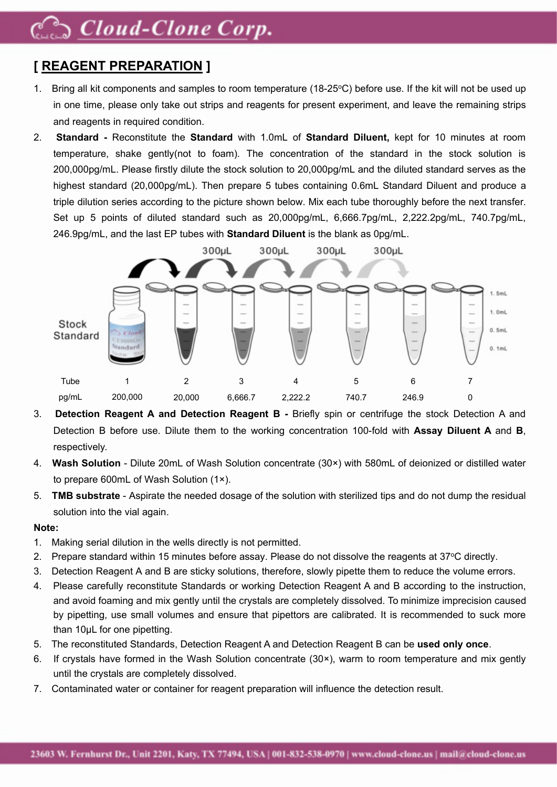# S Cloud-Clone Corp.

# **[ REAGENT PREPARATION ]**

- 1. Bring all kit components and samples to room temperature (18-25 °C) before use. If the kit will not be used up in one time, please only take out strips and reagents for present experiment, and leave the remaining strips and reagents in required condition.
- 2. **Standard -** Reconstitute the **Standard** with 1.0mL of **Standard Diluent,** kept for 10 minutes at room temperature, shake gently(not to foam). The concentration of the standard in the stock solution is 200,000pg/mL. Please firstly dilute the stock solution to 20,000pg/mL and the diluted standard serves as the highest standard (20,000pg/mL). Then prepare 5 tubes containing 0.6mL Standard Diluent and produce a triple dilution series according to the picture shown below. Mix each tube thoroughly before the next transfer. Set up 5 points of diluted standard such as 20,000pg/mL, 6,666.7pg/mL, 2,222.2pg/mL, 740.7pg/mL, 246.9pg/mL, and the last EP tubes with **Standard Diluent** is the blank as 0pg/mL.



- 3. **Detection Reagent A and Detection Reagent B -** Briefly spin or centrifuge the stock Detection A and Detection B before use. Dilute them to the working concentration 100-fold with **Assay Diluent A** and **B**, respectively.
- 4. **Wash Solution** Dilute 20mL of Wash Solution concentrate (30×) with 580mL of deionized or distilled water to prepare 600mL of Wash Solution (1×).
- 5. **TMB substrate** Aspirate the needed dosage of the solution with sterilized tips and do not dump the residual solution into the vial again.

#### **Note:**

- 1. Making serial dilution in the wells directly is not permitted.
- 2. Prepare standard within 15 minutes before assay. Please do not dissolve the reagents at 37°C directly.
- 3. Detection Reagent A and B are sticky solutions, therefore, slowly pipette them to reduce the volume errors.
- 4. Please carefully reconstitute Standards or working Detection Reagent A and B according to the instruction, and avoid foaming and mix gently until the crystals are completely dissolved. To minimize imprecision caused by pipetting, use small volumes and ensure that pipettors are calibrated. It is recommended to suck more than 10uL for one pipetting.
- 5. The reconstituted Standards, Detection Reagent A and Detection Reagent B can be **used only once**.
- 6. If crystals have formed in the Wash Solution concentrate (30×), warm to room temperature and mix gently until the crystals are completely dissolved.
- 7. Contaminated water or container for reagent preparation will influence the detection result.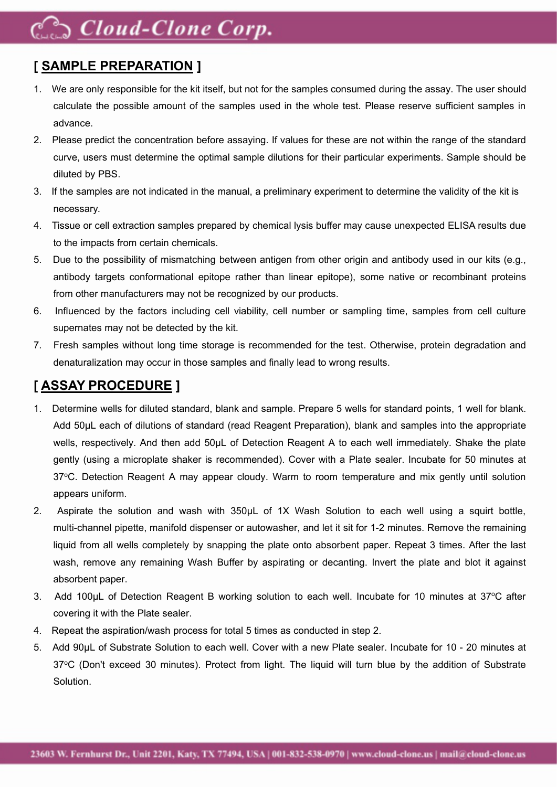# Coud-Clone Corp.

### **[ SAMPLE PREPARATION ]**

- 1. We are only responsible for the kit itself, but not for the samples consumed during the assay. The user should calculate the possible amount of the samples used in the whole test. Please reserve sufficient samples in advance.
- 2. Please predict the concentration before assaying. If values for these are not within the range of the standard curve, users must determine the optimal sample dilutions for their particular experiments. Sample should be diluted by PBS.
- 3. If the samples are not indicated in the manual, a preliminary experiment to determine the validity of the kit is necessary.
- 4. Tissue or cell extraction samples prepared by chemical lysis buffer may cause unexpected ELISA results due to the impacts from certain chemicals.
- 5. Due to the possibility of mismatching between antigen from other origin and antibody used in our kits (e.g., antibody targets conformational epitope rather than linear epitope), some native or recombinant proteins from other manufacturers may not be recognized by our products.
- 6. Influenced by the factors including cell viability, cell number or sampling time, samples from cell culture supernates may not be detected by the kit.
- 7. Fresh samples without long time storage is recommended for the test. Otherwise, protein degradation and denaturalization may occur in those samples and finally lead to wrong results.

### **[ ASSAY PROCEDURE ]**

- 1. Determine wells for diluted standard, blank and sample. Prepare 5 wells for standard points, 1 well for blank. Add 50μL each of dilutions of standard (read Reagent Preparation), blank and samples into the appropriate wells, respectively. And then add 50μL of Detection Reagent A to each well immediately. Shake the plate gently (using a microplate shaker is recommended). Cover with a Plate sealer. Incubate for 50 minutes at 37°C. Detection Reagent A may appear cloudy. Warm to room temperature and mix gently until solution appears uniform.
- 2. Aspirate the solution and wash with 350µL of 1X Wash Solution to each well using a squirt bottle, multi-channel pipette, manifold dispenser or autowasher, and let it sit for 1-2 minutes. Remove the remaining liquid from all wells completely by snapping the plate onto absorbent paper. Repeat 3 times. After the last wash, remove any remaining Wash Buffer by aspirating or decanting. Invert the plate and blot it against absorbent paper.
- 3. Add 100µL of Detection Reagent B working solution to each well. Incubate for 10 minutes at 37°C after covering it with the Plate sealer.
- 4. Repeat the aspiration/wash process for total 5 times as conducted in step 2.
- 5. Add 90μL of Substrate Solution to each well. Cover with a new Plate sealer. Incubate for 10 20 minutes at 37°C (Don't exceed 30 minutes). Protect from light. The liquid will turn blue by the addition of Substrate Solution.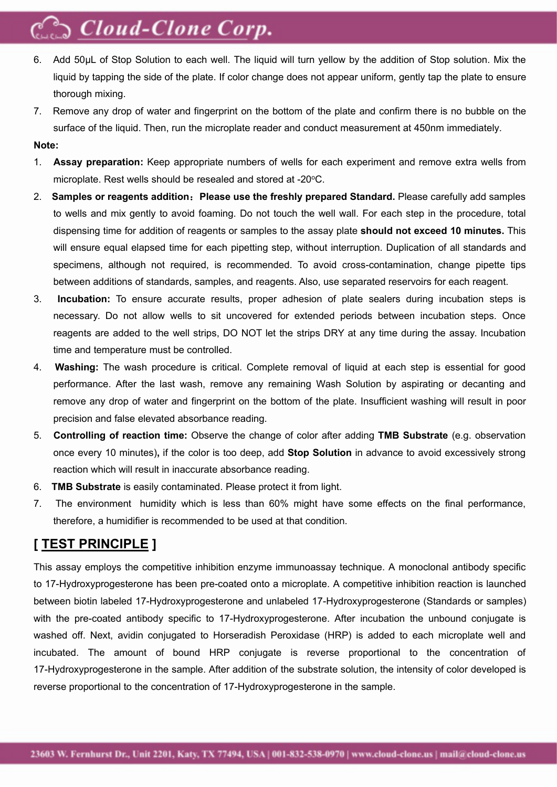# Cloud-Clone Corp.

- 6. Add 50μL of Stop Solution to each well. The liquid will turn yellow by the addition of Stop solution. Mix the liquid by tapping the side of the plate. If color change does not appear uniform, gently tap the plate to ensure thorough mixing.
- 7. Remove any drop of water and fingerprint on the bottom of the plate and confirm there isno bubble on the surface of the liquid. Then, run the microplate reader and conduct measurement at 450nm immediately.

#### **Note:**

- 1. **Assay preparation:** Keep appropriate numbers of wells for each experiment and remove extra wells from microplate. Rest wells should be resealed and stored at -20°C.
- 2. **Samples or reagents addition**:**Please use the freshly prepared Standard.** Please carefully add samples to wells and mix gently to avoid foaming. Do not touch the well wall. For each step in the procedure, total dispensing time for addition of reagents or samples to the assay plate **should not exceed 10 minutes.** This will ensure equal elapsed time for each pipetting step, without interruption. Duplication of all standards and specimens, although not required, is recommended. To avoid cross-contamination, change pipette tips between additions of standards, samples, and reagents. Also, use separated reservoirs for each reagent.
- 3. **Incubation:** To ensure accurate results, proper adhesion of plate sealers during incubation steps is necessary. Do not allow wells to sit uncovered for extended periods between incubation steps. Once reagents are added to the well strips, DO NOT let the strips DRY at anytime during the assay. Incubation time and temperature must be controlled.
- 4. **Washing:** The wash procedure is critical. Complete removal of liquid at each step is essential for good performance. After the last wash, remove any remaining Wash Solution by aspirating or decanting and remove any drop of water and fingerprint on the bottom of the plate. Insufficient washing will result in poor precision and false elevated absorbance reading.
- 5. **Controlling of reaction time:** Observe the change of color after adding **TMB Substrate** (e.g. observation once every 10 minutes)**,** ifthe color is too deep, add **Stop Solution** in advance to avoid excessively strong reaction which will result in inaccurate absorbance reading.
- 6. **TMB Substrate** iseasily contaminated. Please protect it from light.
- 7. The environment humidity which is less than 60% might have some effects on the final performance, therefore, a humidifier is recommended to be used at that condition.

### **[ TEST PRINCIPLE ]**

This assay employs the competitive inhibition enzyme immunoassay technique. A monoclonal antibody specific to 17-Hydroxyprogesterone has been pre-coated onto a microplate. A competitive inhibition reaction islaunched between biotin labeled 17-Hydroxyprogesterone and unlabeled 17-Hydroxyprogesterone (Standards or samples) with the pre-coated antibody specific to 17-Hydroxyprogesterone. After incubation the unbound conjugate is washed off. Next, avidin conjugated to Horseradish Peroxidase (HRP) is added to each microplate well and incubated. The amount of bound HRP conjugate is reverse proportional to the concentration of 17-Hydroxyprogesterone in the sample. After addition of the substrate solution, the intensity of color developed is reverse proportional to the concentration of 17-Hydroxyprogesterone in the sample.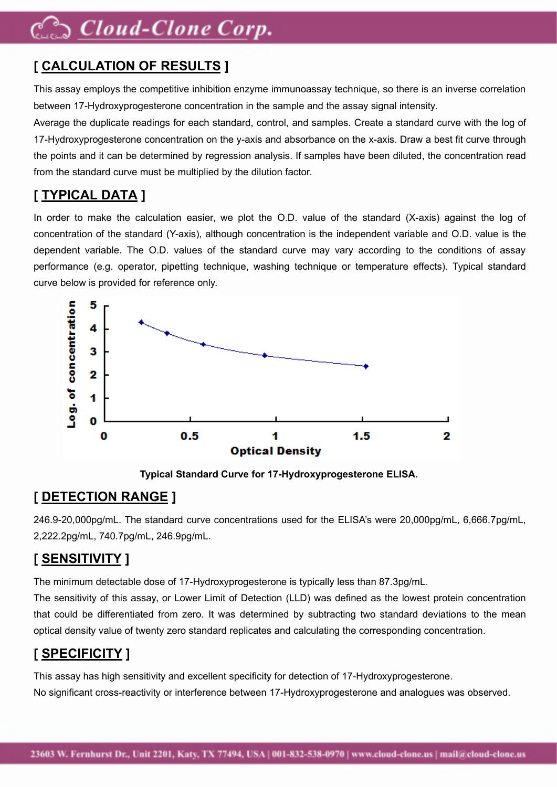# $\supset$  Cloud-Clone Corp.

# **[ CALCULATION OF RESULTS ]**

This assay employs the competitive inhibition enzyme immunoassay technique, so there is an inverse correlation between 17-Hydroxyprogesterone concentration in the sample and the assay signal intensity.

Average the duplicate readings for each standard, control, and samples. Create a standard curve with the log of 17-Hydroxyprogesterone concentration on the y-axis and absorbance on the x-axis. Draw a best fit curve through the points and it can be determined by regression analysis. If samples have been diluted, the concentration read from the standard curve must be multiplied by the dilution factor.

# **[ TYPICAL DATA ]**

In order to make the calculation easier, we plot the O.D. value of the standard (X-axis) against the log of concentration of the standard (Y-axis), although concentration is the independent variable and O.D. value is the dependent variable. The O.D. values of the standard curve may vary according to the conditions of assay performance (e.g. operator, pipetting technique, washing technique or temperature effects). Typical standard curve below is provided for reference only.



**Typical Standard Curve for 17-Hydroxyprogesterone ELISA.**

## **[ DETECTION RANGE ]**

246.9-20,000pg/mL. The standard curve concentrations used for the ELISA's were 20,000pg/mL, 6,666.7pg/mL, 2,222.2pg/mL, 740.7pg/mL, 246.9pg/mL.

## **[ SENSITIVITY ]**

The minimum detectable dose of 17-Hydroxyprogesterone is typically less than 87.3pg/mL.

The sensitivity of this assay, or Lower Limit of Detection (LLD) was defined as the lowest protein concentration that could be differentiated from zero. It was determined by subtracting two standard deviations to the mean optical density value of twenty zero standard replicates and calculating the corresponding concentration.

## **[ SPECIFICITY ]**

This assay has high sensitivity and excellent specificity for detection of 17-Hydroxyprogesterone. No significant cross-reactivity or interference between 17-Hydroxyprogesterone and analogues was observed.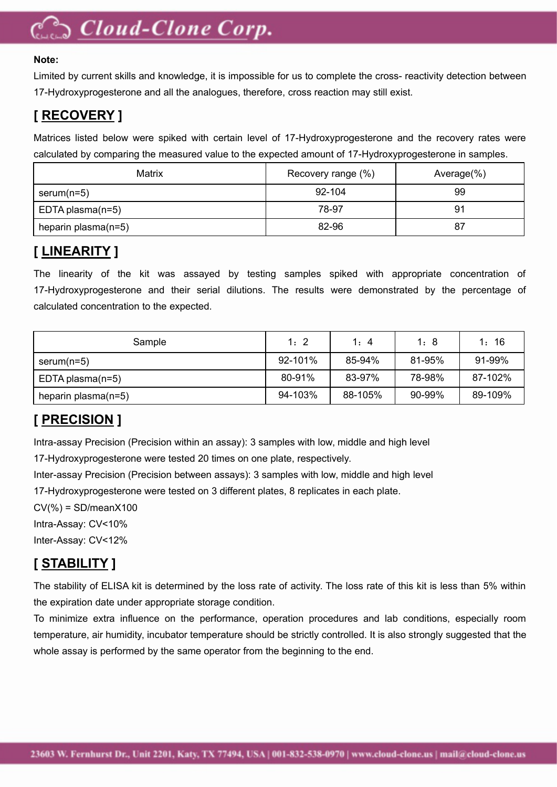# $\supset$  Cloud-Clone Corp.

#### **Note:**

Limited by current skills and knowledge, it is impossible for us to complete the cross- reactivity detection between 17-Hydroxyprogesterone and all the analogues, therefore, cross reaction may still exist.

### **[ RECOVERY ]**

Matrices listed below were spiked with certain level of 17-Hydroxyprogesterone and the recovery rates were calculated by comparing the measured value to the expected amount of 17-Hydroxyprogesterone in samples.

| Matrix              | Recovery range (%) | Average $(\%)$ |  |
|---------------------|--------------------|----------------|--|
| serum( $n=5$ )      | 92-104             | 99             |  |
| EDTA plasma $(n=5)$ | 78-97              | 91             |  |
| heparin plasma(n=5) | 82-96              | 87             |  |

### **[ LINEARITY ]**

The linearity of the kit was assayed by testing samples spiked with appropriate concentration of 17-Hydroxyprogesterone and their serial dilutions. The results were demonstrated by the percentage of calculated concentration to the expected.

| Sample                 | 1: 2    | 1: 4    | 1:8    | 16<br>l : |
|------------------------|---------|---------|--------|-----------|
| $serum(n=5)$           | 92-101% | 85-94%  | 81-95% | 91-99%    |
| EDTA plasma $(n=5)$    | 80-91%  | 83-97%  | 78-98% | 87-102%   |
| heparin plasma $(n=5)$ | 94-103% | 88-105% | 90-99% | 89-109%   |

# **[ PRECISION ]**

Intra-assay Precision (Precision within an assay): 3 samples with low, middle and high level

17-Hydroxyprogesterone were tested 20 times on one plate, respectively.

Inter-assay Precision (Precision between assays): 3 samples with low, middle and high level

17-Hydroxyprogesterone were tested on 3 different plates, 8 replicates in each plate.

 $CV(\% ) = SD/meanX100$ 

Intra-Assay: CV<10%

Inter-Assay: CV<12%

# **[ STABILITY ]**

The stability of ELISA kit is determined by the loss rate of activity. The loss rate of this kit is less than 5% within the expiration date under appropriate storage condition.

To minimize extra influence on the performance, operation procedures and lab conditions,especially room temperature, air humidity, incubator temperature should be strictly controlled. It is also strongly suggested that the whole assay is performed by the same operator from the beginning to the end.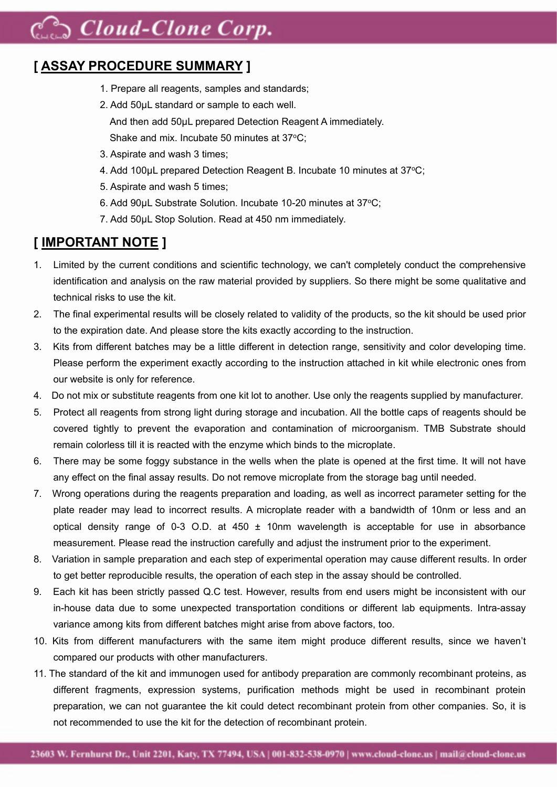# Coud-Clone Corp.

### **[ ASSAY PROCEDURE SUMMARY ]**

- 1. Prepare all reagents, samples and standards;
- 2. Add 50μL standard or sample to each well. And then add 50μL prepared Detection Reagent A immediately. Shake and mix. Incubate 50 minutes at 37°C;
- 3. Aspirate and wash 3 times;
- 4. Add 100uL prepared Detection Reagent B. Incubate 10 minutes at 37°C;
- 5. Aspirate and wash 5 times;
- 6. Add 90μL Substrate Solution. Incubate 10-20 minutes at 37<sup>o</sup>C;
- 7. Add 50μL Stop Solution. Read at 450 nm immediately.

### **[ IMPORTANT NOTE ]**

- 1. Limited by the current conditions and scientific technology, we can't completely conduct the comprehensive identification and analysis on the raw material provided by suppliers. So there might be some qualitative and technical risks to use the kit.
- 2. The final experimental results will be closely related to validity of the products, so the kit should be used prior to the expiration date. And please store the kits exactly according to the instruction.
- 3. Kits from different batches may be a little different in detection range, sensitivity and color developing time. Please perform the experiment exactly according to the instruction attached in kit while electronic ones from our website is only for reference.
- 4. Do not mix or substitute reagents from one kit lot to another. Use only the reagents supplied by manufacturer.
- 5. Protect all reagents from strong light during storage and incubation. All the bottle caps of reagents should be covered tightly to prevent the evaporation and contamination of microorganism. TMB Substrate should remain colorless till it is reacted with the enzyme which binds to the microplate.
- 6. There may be some foggy substance in the wells when the plate isopened at the first time. It will not have any effect on the final assay results. Do not remove microplate from the storage bag until needed.
- 7. Wrong operations during the reagents preparation and loading, as well as incorrect parameter setting for the plate reader may lead to incorrect results. A microplate reader with a bandwidth of 10nm or less and an optical density range of 0-3 O.D. at 450  $\pm$  10nm wavelength is acceptable for use in absorbance measurement. Please read the instruction carefully and adjust the instrument prior to the experiment.
- 8. Variation in sample preparation and each step of experimental operation may cause different results. In order to get better reproducible results, the operation of each step in the assay should be controlled.
- 9. Each kit has been strictly passed Q.C test. However, results from end users might be inconsistent with our in-house data due to some unexpected transportation conditions or different lab equipments. Intra-assay variance among kits from different batches might arise from above factors, too.
- 10. Kits from different manufacturers with the same item might produce different results, since we haven't compared our products with other manufacturers.
- 11. The standard ofthe kit and immunogen used for antibody preparation are commonly recombinant proteins, as different fragments, expression systems, purification methods might be used in recombinant protein preparation, we can not guarantee the kit could detect recombinant protein from other companies. So, it is not recommended to use the kit for the detection of recombinant protein.